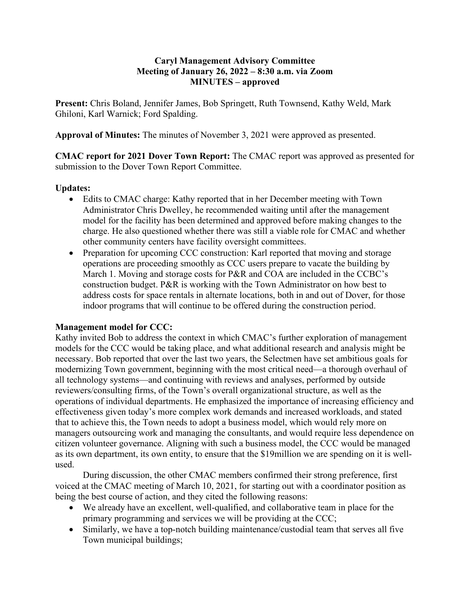## **Caryl Management Advisory Committee Meeting of January 26, 2022 – 8:30 a.m. via Zoom MINUTES – approved**

**Present:** Chris Boland, Jennifer James, Bob Springett, Ruth Townsend, Kathy Weld, Mark Ghiloni, Karl Warnick; Ford Spalding.

**Approval of Minutes:** The minutes of November 3, 2021 were approved as presented.

**CMAC report for 2021 Dover Town Report:** The CMAC report was approved as presented for submission to the Dover Town Report Committee.

## **Updates:**

- Edits to CMAC charge: Kathy reported that in her December meeting with Town Administrator Chris Dwelley, he recommended waiting until after the management model for the facility has been determined and approved before making changes to the charge. He also questioned whether there was still a viable role for CMAC and whether other community centers have facility oversight committees.
- Preparation for upcoming CCC construction: Karl reported that moving and storage operations are proceeding smoothly as CCC users prepare to vacate the building by March 1. Moving and storage costs for P&R and COA are included in the CCBC's construction budget. P&R is working with the Town Administrator on how best to address costs for space rentals in alternate locations, both in and out of Dover, for those indoor programs that will continue to be offered during the construction period.

## **Management model for CCC:**

Kathy invited Bob to address the context in which CMAC's further exploration of management models for the CCC would be taking place, and what additional research and analysis might be necessary. Bob reported that over the last two years, the Selectmen have set ambitious goals for modernizing Town government, beginning with the most critical need—a thorough overhaul of all technology systems—and continuing with reviews and analyses, performed by outside reviewers/consulting firms, of the Town's overall organizational structure, as well as the operations of individual departments. He emphasized the importance of increasing efficiency and effectiveness given today's more complex work demands and increased workloads, and stated that to achieve this, the Town needs to adopt a business model, which would rely more on managers outsourcing work and managing the consultants, and would require less dependence on citizen volunteer governance. Aligning with such a business model, the CCC would be managed as its own department, its own entity, to ensure that the \$19million we are spending on it is wellused.

During discussion, the other CMAC members confirmed their strong preference, first voiced at the CMAC meeting of March 10, 2021, for starting out with a coordinator position as being the best course of action, and they cited the following reasons:

- We already have an excellent, well-qualified, and collaborative team in place for the primary programming and services we will be providing at the CCC;
- Similarly, we have a top-notch building maintenance/custodial team that serves all five Town municipal buildings;